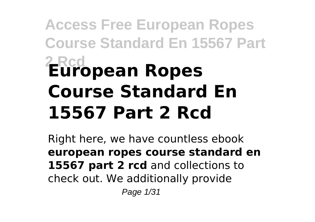# **Access Free European Ropes Course Standard En 15567 Part 2 Rcd European Ropes Course Standard En 15567 Part 2 Rcd**

Right here, we have countless ebook **european ropes course standard en 15567 part 2 rcd** and collections to check out. We additionally provide Page 1/31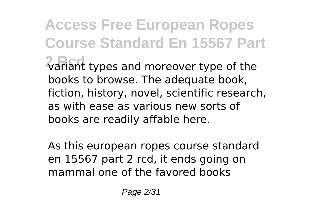**Access Free European Ropes Course Standard En 15567 Part**  $\sqrt{2}$  variant types and moreover type of the books to browse. The adequate book, fiction, history, novel, scientific research, as with ease as various new sorts of books are readily affable here.

As this european ropes course standard en 15567 part 2 rcd, it ends going on mammal one of the favored books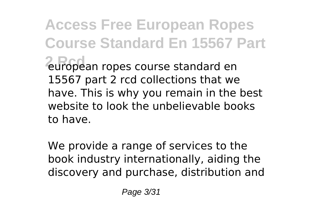**Access Free European Ropes Course Standard En 15567 Part 2 Rcd** european ropes course standard en 15567 part 2 rcd collections that we have. This is why you remain in the best website to look the unbelievable books to have.

We provide a range of services to the book industry internationally, aiding the discovery and purchase, distribution and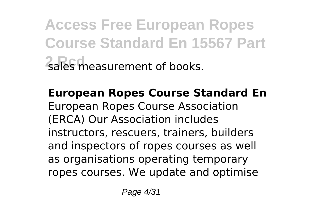**Access Free European Ropes Course Standard En 15567 Part 2 ales measurement of books.** 

**European Ropes Course Standard En** European Ropes Course Association (ERCA) Our Association includes instructors, rescuers, trainers, builders and inspectors of ropes courses as well as organisations operating temporary ropes courses. We update and optimise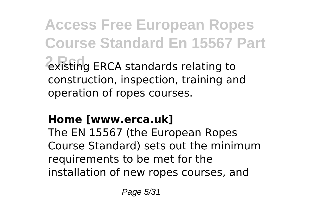**Access Free European Ropes Course Standard En 15567 Part 2 Acc**es ERCA standards relating to construction, inspection, training and operation of ropes courses.

### **Home [www.erca.uk]**

The EN 15567 (the European Ropes Course Standard) sets out the minimum requirements to be met for the installation of new ropes courses, and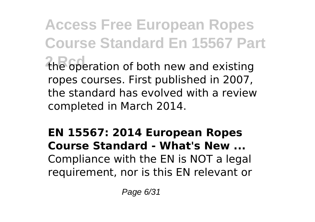**Access Free European Ropes Course Standard En 15567 Part 2 Rcd** the operation of both new and existing ropes courses. First published in 2007, the standard has evolved with a review completed in March 2014.

### **EN 15567: 2014 European Ropes Course Standard - What's New ...** Compliance with the EN is NOT a legal requirement, nor is this EN relevant or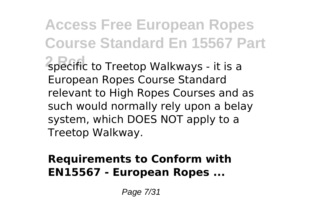**Access Free European Ropes Course Standard En 15567 Part 2 Rcd** specific to Treetop Walkways - it is a European Ropes Course Standard relevant to High Ropes Courses and as such would normally rely upon a belay system, which DOES NOT apply to a Treetop Walkway.

### **Requirements to Conform with EN15567 - European Ropes ...**

Page 7/31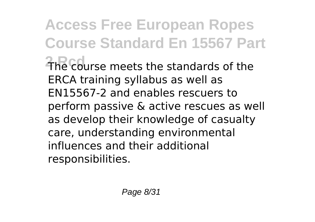**Access Free European Ropes Course Standard En 15567 Part 2 Rcd** The course meets the standards of the ERCA training syllabus as well as EN15567-2 and enables rescuers to perform passive & active rescues as well as develop their knowledge of casualty care, understanding environmental influences and their additional responsibilities.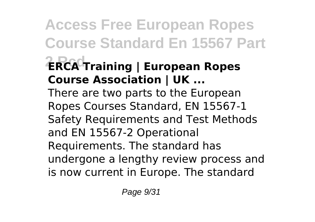**Access Free European Ropes Course Standard En 15567 Part 2 Rcd ERCA Training | European Ropes Course Association | UK ...** There are two parts to the European Ropes Courses Standard, EN 15567-1 Safety Requirements and Test Methods and EN 15567-2 Operational Requirements. The standard has undergone a lengthy review process and is now current in Europe. The standard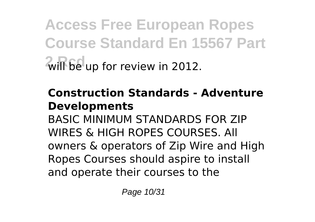**Access Free European Ropes Course Standard En 15567 Part**  $2$ will be up for review in 2012.

### **Construction Standards - Adventure Developments**

BASIC MINIMUM STANDARDS FOR ZIP WIRES & HIGH ROPES COURSES. All owners & operators of Zip Wire and High Ropes Courses should aspire to install and operate their courses to the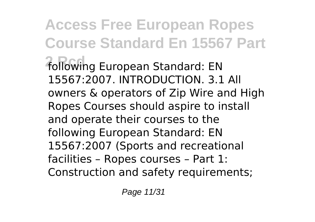**Access Free European Ropes Course Standard En 15567 Part 2 Rcd** following European Standard: EN 15567:2007. INTRODUCTION. 3.1 All owners & operators of Zip Wire and High Ropes Courses should aspire to install and operate their courses to the following European Standard: EN 15567:2007 (Sports and recreational facilities – Ropes courses – Part 1: Construction and safety requirements;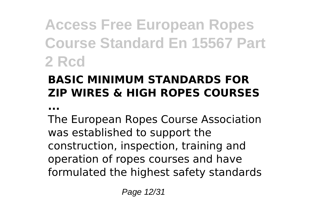**Access Free European Ropes Course Standard En 15567 Part 2 Rcd**

### **BASIC MINIMUM STANDARDS FOR ZIP WIRES & HIGH ROPES COURSES**

**...**

The European Ropes Course Association was established to support the construction, inspection, training and operation of ropes courses and have formulated the highest safety standards

Page 12/31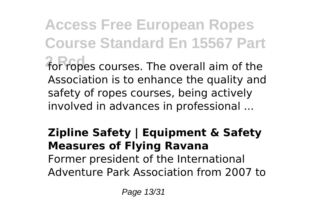**Access Free European Ropes Course Standard En 15567 Part 2 Rcd** for ropes courses. The overall aim of the Association is to enhance the quality and safety of ropes courses, being actively involved in advances in professional ...

### **Zipline Safety | Equipment & Safety Measures of Flying Ravana** Former president of the International Adventure Park Association from 2007 to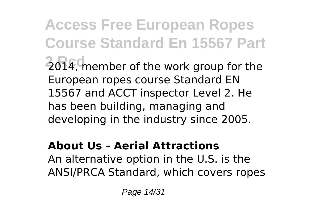**Access Free European Ropes Course Standard En 15567 Part** 2014, member of the work group for the European ropes course Standard EN 15567 and ACCT inspector Level 2. He has been building, managing and developing in the industry since 2005.

### **About Us - Aerial Attractions**

An alternative option in the U.S. is the ANSI/PRCA Standard, which covers ropes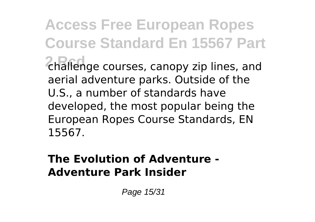**Access Free European Ropes Course Standard En 15567 Part 2 Rcd** challenge courses, canopy zip lines, and aerial adventure parks. Outside of the U.S., a number of standards have developed, the most popular being the European Ropes Course Standards, EN 15567.

### **The Evolution of Adventure - Adventure Park Insider**

Page 15/31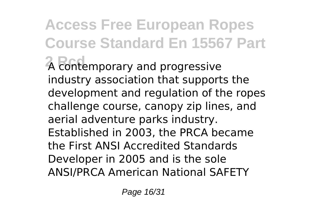**Access Free European Ropes Course Standard En 15567 Part**  $\overline{A}$  contemporary and progressive industry association that supports the development and regulation of the ropes challenge course, canopy zip lines, and aerial adventure parks industry. Established in 2003, the PRCA became the First ANSI Accredited Standards Developer in 2005 and is the sole ANSI/PRCA American National SAFETY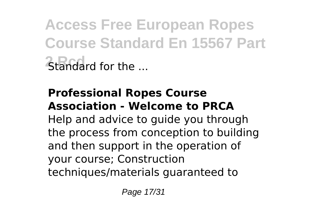**Access Free European Ropes Course Standard En 15567 Part 2 Rendard for the ...** 

#### **Professional Ropes Course Association - Welcome to PRCA**

Help and advice to guide you through the process from conception to building and then support in the operation of your course; Construction techniques/materials guaranteed to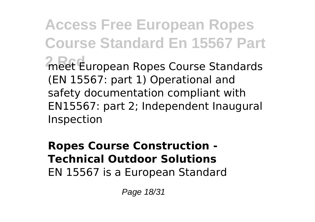**Access Free European Ropes Course Standard En 15567 Part 2 Reet European Ropes Course Standards** (EN 15567: part 1) Operational and safety documentation compliant with EN15567: part 2; Independent Inaugural Inspection

**Ropes Course Construction - Technical Outdoor Solutions** EN 15567 is a European Standard

Page 18/31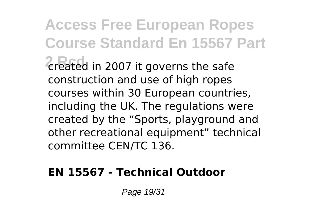**Access Free European Ropes Course Standard En 15567 Part 2 2 2007** it governs the safe construction and use of high ropes courses within 30 European countries, including the UK. The regulations were created by the "Sports, playground and other recreational equipment" technical committee CEN/TC 136.

### **EN 15567 - Technical Outdoor**

Page 19/31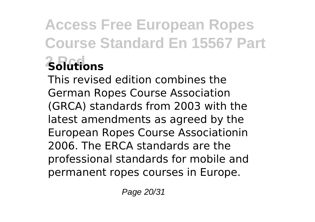## **Access Free European Ropes Course Standard En 15567 Part 2 Rcd Solutions**

This revised edition combines the German Ropes Course Association (GRCA) standards from 2003 with the latest amendments as agreed by the European Ropes Course Associationin 2006. The ERCA standards are the professional standards for mobile and permanent ropes courses in Europe.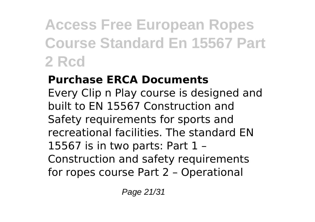## **Access Free European Ropes Course Standard En 15567 Part 2 Rcd**

### **Purchase ERCA Documents**

Every Clip n Play course is designed and built to EN 15567 Construction and Safety requirements for sports and recreational facilities. The standard EN 15567 is in two parts: Part 1 – Construction and safety requirements for ropes course Part 2 – Operational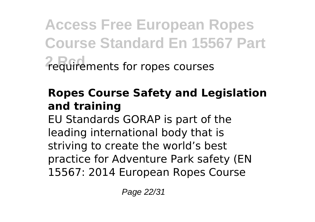**Access Free European Ropes Course Standard En 15567 Part 2 Rcd** requirements for ropes courses

### **Ropes Course Safety and Legislation and training**

EU Standards GORAP is part of the leading international body that is striving to create the world's best practice for Adventure Park safety (EN 15567: 2014 European Ropes Course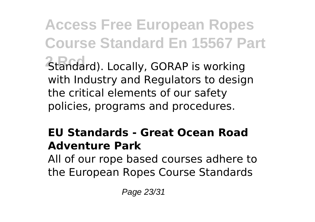**Access Free European Ropes Course Standard En 15567 Part 2 Standard). Locally, GORAP is working** with Industry and Regulators to design the critical elements of our safety policies, programs and procedures.

### **EU Standards - Great Ocean Road Adventure Park**

All of our rope based courses adhere to the European Ropes Course Standards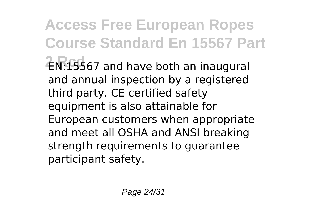**Access Free European Ropes Course Standard En 15567 Part 2 Rcd** EN:15567 and have both an inaugural and annual inspection by a registered third party. CE certified safety equipment is also attainable for European customers when appropriate and meet all OSHA and ANSI breaking strength requirements to guarantee participant safety.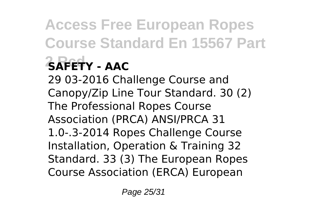# **Access Free European Ropes Course Standard En 15567 Part 2 Rcd SAFETY - AAC**

29 03-2016 Challenge Course and Canopy/Zip Line Tour Standard. 30 (2) The Professional Ropes Course Association (PRCA) ANSI/PRCA 31 1.0-.3-2014 Ropes Challenge Course Installation, Operation & Training 32 Standard. 33 (3) The European Ropes Course Association (ERCA) European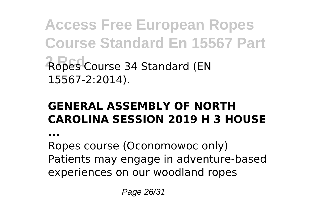**Access Free European Ropes Course Standard En 15567 Part Ropes Course 34 Standard (EN** 15567-2:2014).

### **GENERAL ASSEMBLY OF NORTH CAROLINA SESSION 2019 H 3 HOUSE**

**...**

Ropes course (Oconomowoc only) Patients may engage in adventure-based experiences on our woodland ropes

Page 26/31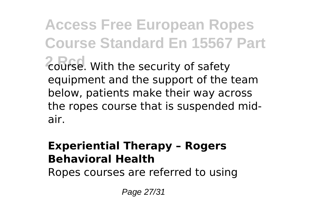**Access Free European Ropes Course Standard En 15567 Part 2 Rcd** course. With the security of safety equipment and the support of the team below, patients make their way across the ropes course that is suspended midair.

#### **Experiential Therapy – Rogers Behavioral Health**

Ropes courses are referred to using

Page 27/31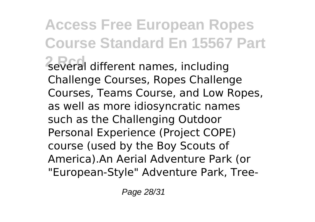**Access Free European Ropes Course Standard En 15567 Part 2 Reveral different names, including** Challenge Courses, Ropes Challenge Courses, Teams Course, and Low Ropes, as well as more idiosyncratic names such as the Challenging Outdoor Personal Experience (Project COPE) course (used by the Boy Scouts of America).An Aerial Adventure Park (or "European-Style" Adventure Park, Tree-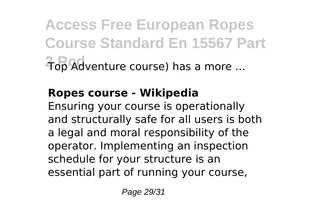**Access Free European Ropes Course Standard En 15567 Part 2 Rcd** Top Adventure course) has a more ...

### **Ropes course - Wikipedia**

Ensuring your course is operationally and structurally safe for all users is both a legal and moral responsibility of the operator. Implementing an inspection schedule for your structure is an essential part of running your course,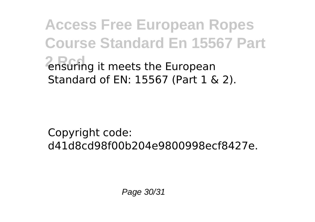**Access Free European Ropes Course Standard En 15567 Part 2** ensuring it meets the European Standard of EN: 15567 (Part 1 & 2).

Copyright code: d41d8cd98f00b204e9800998ecf8427e.

Page 30/31